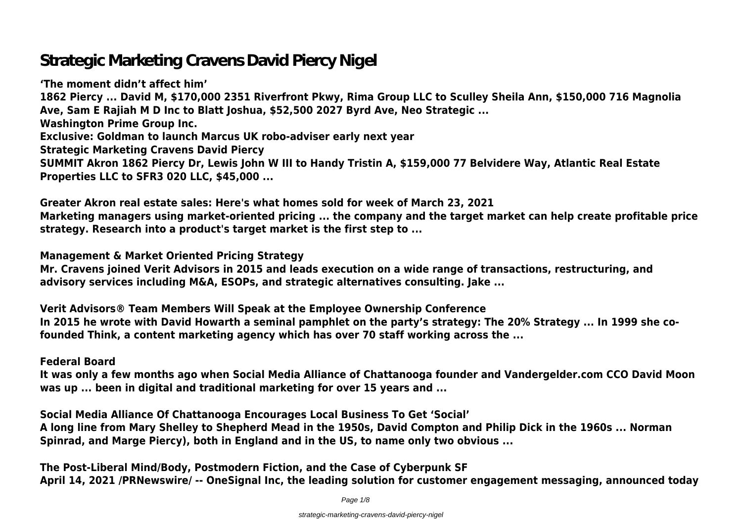# **Strategic Marketing Cravens David Piercy Nigel**

**'The moment didn't affect him' 1862 Piercy ... David M, \$170,000 2351 Riverfront Pkwy, Rima Group LLC to Sculley Sheila Ann, \$150,000 716 Magnolia Ave, Sam E Rajiah M D Inc to Blatt Joshua, \$52,500 2027 Byrd Ave, Neo Strategic ... Washington Prime Group Inc. Exclusive: Goldman to launch Marcus UK robo-adviser early next year Strategic Marketing Cravens David Piercy SUMMIT Akron 1862 Piercy Dr, Lewis John W III to Handy Tristin A, \$159,000 77 Belvidere Way, Atlantic Real Estate Properties LLC to SFR3 020 LLC, \$45,000 ...**

**Greater Akron real estate sales: Here's what homes sold for week of March 23, 2021 Marketing managers using market-oriented pricing ... the company and the target market can help create profitable price strategy. Research into a product's target market is the first step to ...**

**Management & Market Oriented Pricing Strategy**

**Mr. Cravens joined Verit Advisors in 2015 and leads execution on a wide range of transactions, restructuring, and advisory services including M&A, ESOPs, and strategic alternatives consulting. Jake ...**

**Verit Advisors® Team Members Will Speak at the Employee Ownership Conference In 2015 he wrote with David Howarth a seminal pamphlet on the party's strategy: The 20% Strategy ... In 1999 she cofounded Think, a content marketing agency which has over 70 staff working across the ...**

**Federal Board**

**It was only a few months ago when Social Media Alliance of Chattanooga founder and Vandergelder.com CCO David Moon was up ... been in digital and traditional marketing for over 15 years and ...**

**Social Media Alliance Of Chattanooga Encourages Local Business To Get 'Social' A long line from Mary Shelley to Shepherd Mead in the 1950s, David Compton and Philip Dick in the 1960s ... Norman Spinrad, and Marge Piercy), both in England and in the US, to name only two obvious ...**

**The Post-Liberal Mind/Body, Postmodern Fiction, and the Case of Cyberpunk SF April 14, 2021 /PRNewswire/ -- OneSignal Inc, the leading solution for customer engagement messaging, announced today**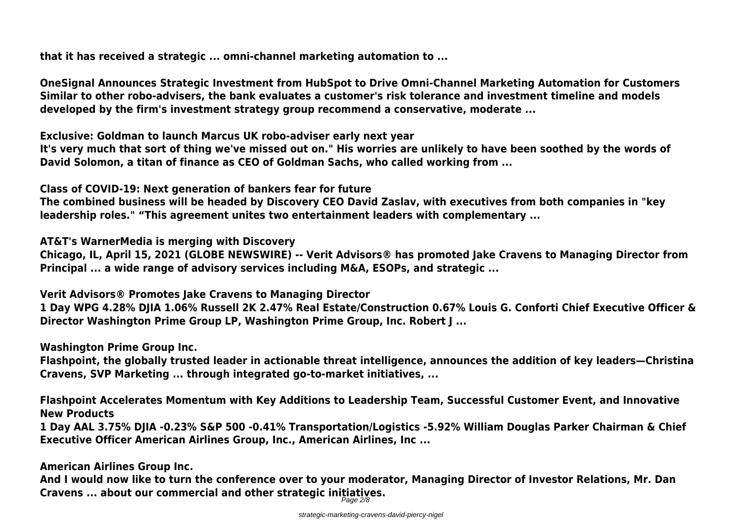**that it has received a strategic ... omni-channel marketing automation to ...**

**OneSignal Announces Strategic Investment from HubSpot to Drive Omni-Channel Marketing Automation for Customers Similar to other robo-advisers, the bank evaluates a customer's risk tolerance and investment timeline and models developed by the firm's investment strategy group recommend a conservative, moderate ...**

**Exclusive: Goldman to launch Marcus UK robo-adviser early next year**

**It's very much that sort of thing we've missed out on." His worries are unlikely to have been soothed by the words of David Solomon, a titan of finance as CEO of Goldman Sachs, who called working from ...**

**Class of COVID-19: Next generation of bankers fear for future**

**The combined business will be headed by Discovery CEO David Zaslav, with executives from both companies in "key leadership roles." "This agreement unites two entertainment leaders with complementary ...**

**AT&T's WarnerMedia is merging with Discovery**

**Chicago, IL, April 15, 2021 (GLOBE NEWSWIRE) -- Verit Advisors® has promoted Jake Cravens to Managing Director from Principal ... a wide range of advisory services including M&A, ESOPs, and strategic ...**

**Verit Advisors® Promotes Jake Cravens to Managing Director 1 Day WPG 4.28% DJIA 1.06% Russell 2K 2.47% Real Estate/Construction 0.67% Louis G. Conforti Chief Executive Officer & Director Washington Prime Group LP, Washington Prime Group, Inc. Robert J ...**

**Washington Prime Group Inc.**

**Flashpoint, the globally trusted leader in actionable threat intelligence, announces the addition of key leaders—Christina Cravens, SVP Marketing ... through integrated go-to-market initiatives, ...**

**Flashpoint Accelerates Momentum with Key Additions to Leadership Team, Successful Customer Event, and Innovative New Products**

**1 Day AAL 3.75% DJIA -0.23% S&P 500 -0.41% Transportation/Logistics -5.92% William Douglas Parker Chairman & Chief Executive Officer American Airlines Group, Inc., American Airlines, Inc ...**

**American Airlines Group Inc.**

**And I would now like to turn the conference over to your moderator, Managing Director of Investor Relations, Mr. Dan Cravens ... about our commercial and other strategic initiatives.** Page 2/8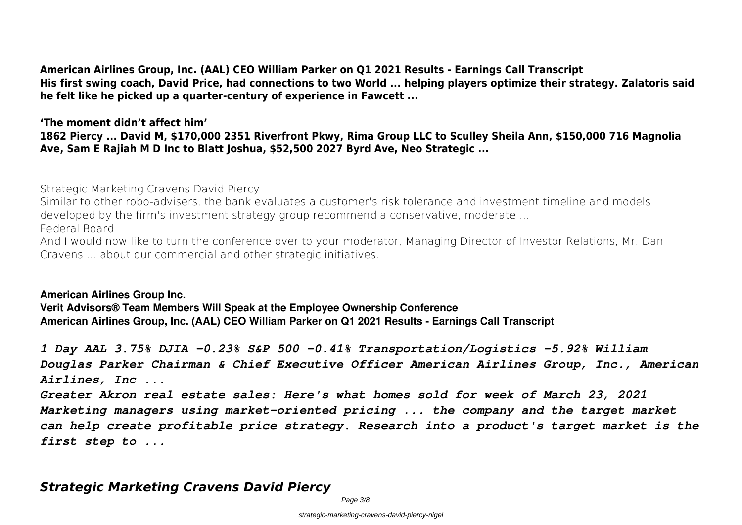**American Airlines Group, Inc. (AAL) CEO William Parker on Q1 2021 Results - Earnings Call Transcript His first swing coach, David Price, had connections to two World ... helping players optimize their strategy. Zalatoris said he felt like he picked up a quarter-century of experience in Fawcett ...**

**'The moment didn't affect him' 1862 Piercy ... David M, \$170,000 2351 Riverfront Pkwy, Rima Group LLC to Sculley Sheila Ann, \$150,000 716 Magnolia Ave, Sam E Rajiah M D Inc to Blatt Joshua, \$52,500 2027 Byrd Ave, Neo Strategic ...**

**Strategic Marketing Cravens David Piercy**

Similar to other robo-advisers, the bank evaluates a customer's risk tolerance and investment timeline and models developed by the firm's investment strategy group recommend a conservative, moderate ...

**Federal Board**

And I would now like to turn the conference over to your moderator, Managing Director of Investor Relations, Mr. Dan Cravens ... about our commercial and other strategic initiatives.

**American Airlines Group Inc. Verit Advisors® Team Members Will Speak at the Employee Ownership Conference American Airlines Group, Inc. (AAL) CEO William Parker on Q1 2021 Results - Earnings Call Transcript**

*1 Day AAL 3.75% DJIA -0.23% S&P 500 -0.41% Transportation/Logistics -5.92% William Douglas Parker Chairman & Chief Executive Officer American Airlines Group, Inc., American Airlines, Inc ...*

*Greater Akron real estate sales: Here's what homes sold for week of March 23, 2021 Marketing managers using market-oriented pricing ... the company and the target market can help create profitable price strategy. Research into a product's target market is the first step to ...*

# *Strategic Marketing Cravens David Piercy*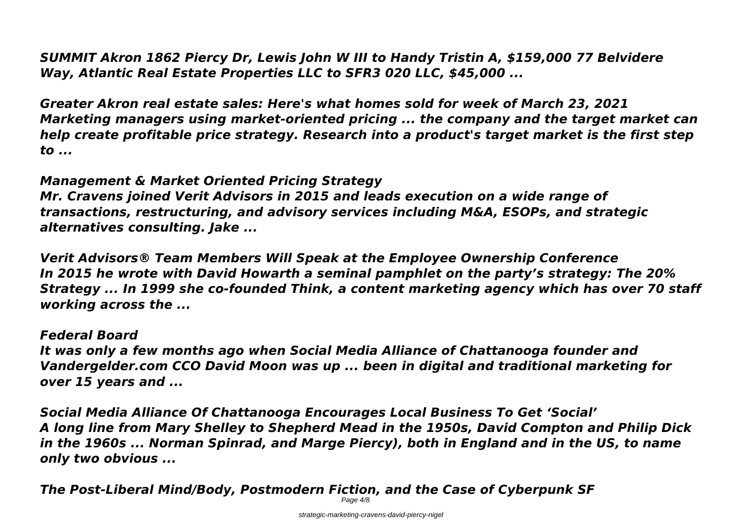*SUMMIT Akron 1862 Piercy Dr, Lewis John W III to Handy Tristin A, \$159,000 77 Belvidere Way, Atlantic Real Estate Properties LLC to SFR3 020 LLC, \$45,000 ...*

*Greater Akron real estate sales: Here's what homes sold for week of March 23, 2021 Marketing managers using market-oriented pricing ... the company and the target market can help create profitable price strategy. Research into a product's target market is the first step to ...*

### *Management & Market Oriented Pricing Strategy*

*Mr. Cravens joined Verit Advisors in 2015 and leads execution on a wide range of transactions, restructuring, and advisory services including M&A, ESOPs, and strategic alternatives consulting. Jake ...*

*Verit Advisors® Team Members Will Speak at the Employee Ownership Conference In 2015 he wrote with David Howarth a seminal pamphlet on the party's strategy: The 20% Strategy ... In 1999 she co-founded Think, a content marketing agency which has over 70 staff working across the ...*

### *Federal Board*

*It was only a few months ago when Social Media Alliance of Chattanooga founder and Vandergelder.com CCO David Moon was up ... been in digital and traditional marketing for over 15 years and ...*

*Social Media Alliance Of Chattanooga Encourages Local Business To Get 'Social' A long line from Mary Shelley to Shepherd Mead in the 1950s, David Compton and Philip Dick in the 1960s ... Norman Spinrad, and Marge Piercy), both in England and in the US, to name only two obvious ...*

*The Post-Liberal Mind/Body, Postmodern Fiction, and the Case of Cyberpunk SF*

Page  $4/8$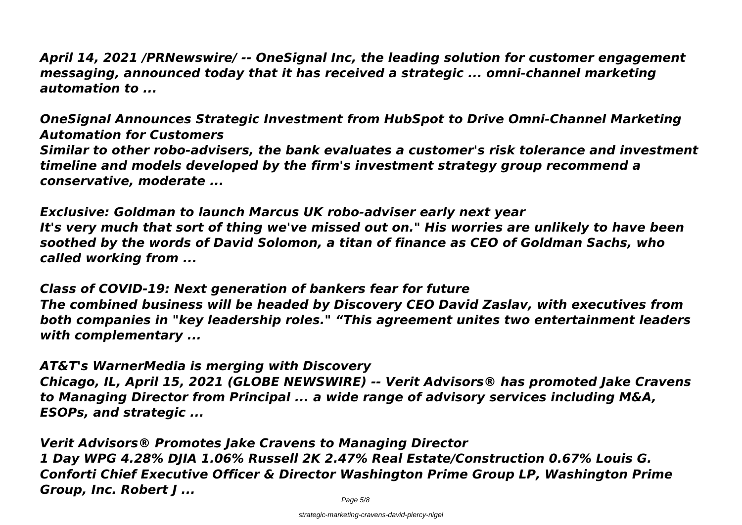*April 14, 2021 /PRNewswire/ -- OneSignal Inc, the leading solution for customer engagement messaging, announced today that it has received a strategic ... omni-channel marketing automation to ...*

*OneSignal Announces Strategic Investment from HubSpot to Drive Omni-Channel Marketing Automation for Customers Similar to other robo-advisers, the bank evaluates a customer's risk tolerance and investment timeline and models developed by the firm's investment strategy group recommend a conservative, moderate ...*

*Exclusive: Goldman to launch Marcus UK robo-adviser early next year It's very much that sort of thing we've missed out on." His worries are unlikely to have been soothed by the words of David Solomon, a titan of finance as CEO of Goldman Sachs, who called working from ...*

*Class of COVID-19: Next generation of bankers fear for future The combined business will be headed by Discovery CEO David Zaslav, with executives from both companies in "key leadership roles." "This agreement unites two entertainment leaders with complementary ...*

*AT&T's WarnerMedia is merging with Discovery Chicago, IL, April 15, 2021 (GLOBE NEWSWIRE) -- Verit Advisors® has promoted Jake Cravens to Managing Director from Principal ... a wide range of advisory services including M&A, ESOPs, and strategic ...*

*Verit Advisors® Promotes Jake Cravens to Managing Director 1 Day WPG 4.28% DJIA 1.06% Russell 2K 2.47% Real Estate/Construction 0.67% Louis G. Conforti Chief Executive Officer & Director Washington Prime Group LP, Washington Prime Group, Inc. Robert J ...*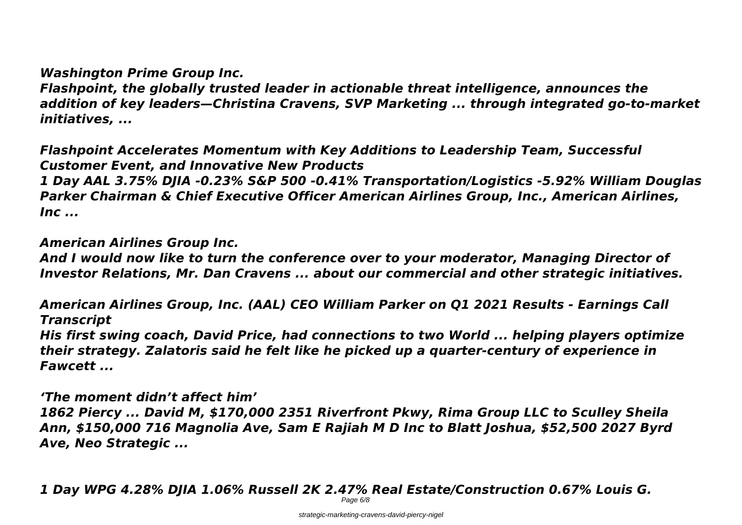# *Washington Prime Group Inc.*

*Flashpoint, the globally trusted leader in actionable threat intelligence, announces the addition of key leaders—Christina Cravens, SVP Marketing ... through integrated go-to-market initiatives, ...*

*Flashpoint Accelerates Momentum with Key Additions to Leadership Team, Successful Customer Event, and Innovative New Products*

*1 Day AAL 3.75% DJIA -0.23% S&P 500 -0.41% Transportation/Logistics -5.92% William Douglas Parker Chairman & Chief Executive Officer American Airlines Group, Inc., American Airlines, Inc ...*

# *American Airlines Group Inc.*

*And I would now like to turn the conference over to your moderator, Managing Director of Investor Relations, Mr. Dan Cravens ... about our commercial and other strategic initiatives.*

*American Airlines Group, Inc. (AAL) CEO William Parker on Q1 2021 Results - Earnings Call Transcript*

*His first swing coach, David Price, had connections to two World ... helping players optimize their strategy. Zalatoris said he felt like he picked up a quarter-century of experience in Fawcett ...*

*'The moment didn't affect him' 1862 Piercy ... David M, \$170,000 2351 Riverfront Pkwy, Rima Group LLC to Sculley Sheila Ann, \$150,000 716 Magnolia Ave, Sam E Rajiah M D Inc to Blatt Joshua, \$52,500 2027 Byrd Ave, Neo Strategic ...*

*1 Day WPG 4.28% DJIA 1.06% Russell 2K 2.47% Real Estate/Construction 0.67% Louis G.*

Page 6/8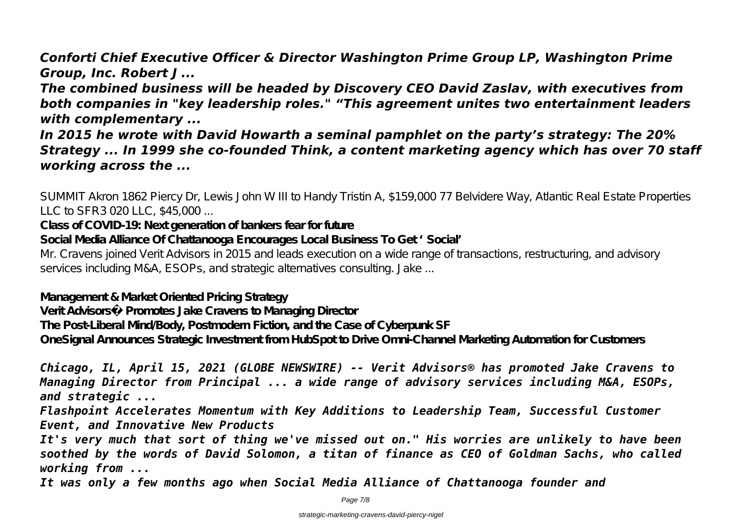*Conforti Chief Executive Officer & Director Washington Prime Group LP, Washington Prime Group, Inc. Robert J ...*

*The combined business will be headed by Discovery CEO David Zaslav, with executives from both companies in "key leadership roles." "This agreement unites two entertainment leaders with complementary ...*

*In 2015 he wrote with David Howarth a seminal pamphlet on the party's strategy: The 20% Strategy ... In 1999 she co-founded Think, a content marketing agency which has over 70 staff working across the ...*

SUMMIT Akron 1862 Piercy Dr, Lewis John W III to Handy Tristin A, \$159,000 77 Belvidere Way, Atlantic Real Estate Properties LLC to SFR3 020 LLC, \$45,000 ...

**Class of COVID-19: Next generation of bankers fear for future**

**Social Media Alliance Of Chattanooga Encourages Local Business To Get 'Social'**

Mr. Cravens joined Verit Advisors in 2015 and leads execution on a wide range of transactions, restructuring, and advisory services including M&A, ESOPs, and strategic alternatives consulting. Jake ...

**Management & Market Oriented Pricing Strategy**

**Verit Advisors® Promotes Jake Cravens to Managing Director**

**The Post-Liberal Mind/Body, Postmodern Fiction, and the Case of Cyberpunk SF**

**OneSignal Announces Strategic Investment from HubSpot to Drive Omni-Channel Marketing Automation for Customers**

*Chicago, IL, April 15, 2021 (GLOBE NEWSWIRE) -- Verit Advisors® has promoted Jake Cravens to Managing Director from Principal ... a wide range of advisory services including M&A, ESOPs, and strategic ...*

*Flashpoint Accelerates Momentum with Key Additions to Leadership Team, Successful Customer Event, and Innovative New Products*

*It's very much that sort of thing we've missed out on." His worries are unlikely to have been soothed by the words of David Solomon, a titan of finance as CEO of Goldman Sachs, who called working from ...*

*It was only a few months ago when Social Media Alliance of Chattanooga founder and*